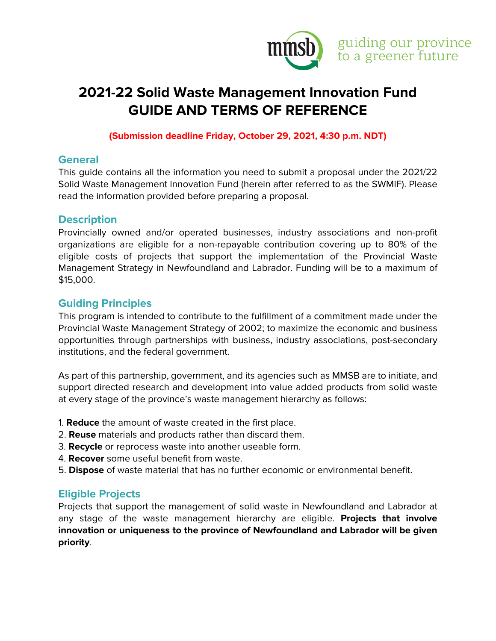

# **2021-22 Solid Waste Management Innovation Fund GUIDE AND TERMS OF REFERENCE**

#### **(Submission deadline Friday, October 29, 2021, 4:30 p.m. NDT)**

### **General**

This guide contains all the information you need to submit a proposal under the 2021/22 Solid Waste Management Innovation Fund (herein after referred to as the SWMIF). Please read the information provided before preparing a proposal.

### **Description**

Provincially owned and/or operated businesses, industry associations and non-profit organizations are eligible for a non-repayable contribution covering up to 80% of the eligible costs of projects that support the implementation of the Provincial Waste Management Strategy in Newfoundland and Labrador. Funding will be to a maximum of \$15,000.

## **Guiding Principles**

This program is intended to contribute to the fulfillment of a commitment made under the Provincial Waste Management Strategy of 2002; to maximize the economic and business opportunities through partnerships with business, industry associations, post-secondary institutions, and the federal government.

As part of this partnership, government, and its agencies such as MMSB are to initiate, and support directed research and development into value added products from solid waste at every stage of the province's waste management hierarchy as follows:

- 1. **Reduce** the amount of waste created in the first place.
- 2. **Reuse** materials and products rather than discard them.
- 3. **Recycle** or reprocess waste into another useable form.
- 4. **Recover** some useful benefit from waste.
- 5. **Dispose** of waste material that has no further economic or environmental benefit.

### **Eligible Projects**

Projects that support the management of solid waste in Newfoundland and Labrador at any stage of the waste management hierarchy are eligible. **Projects that involve innovation or uniqueness to the province of Newfoundland and Labrador will be given priority**.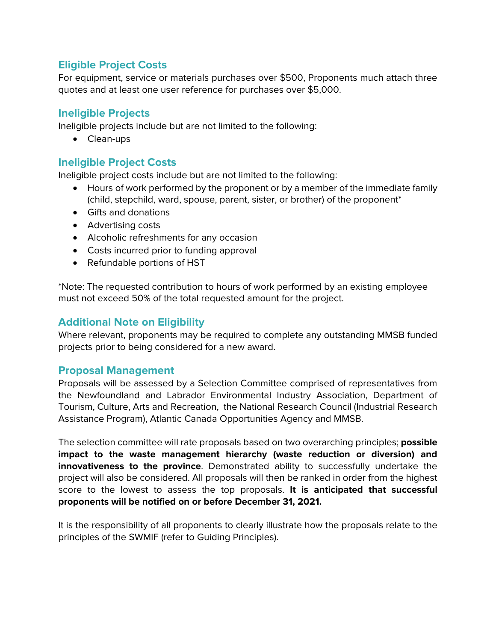## **Eligible Project Costs**

For equipment, service or materials purchases over \$500, Proponents much attach three quotes and at least one user reference for purchases over \$5,000.

## **Ineligible Projects**

Ineligible projects include but are not limited to the following:

• Clean-ups

### **Ineligible Project Costs**

Ineligible project costs include but are not limited to the following:

- Hours of work performed by the proponent or by a member of the immediate family (child, stepchild, ward, spouse, parent, sister, or brother) of the proponent\*
- Gifts and donations
- Advertising costs
- Alcoholic refreshments for any occasion
- Costs incurred prior to funding approval
- Refundable portions of HST

\*Note: The requested contribution to hours of work performed by an existing employee must not exceed 50% of the total requested amount for the project.

### **Additional Note on Eligibility**

Where relevant, proponents may be required to complete any outstanding MMSB funded projects prior to being considered for a new award.

### **Proposal Management**

Proposals will be assessed by a Selection Committee comprised of representatives from the Newfoundland and Labrador Environmental Industry Association, Department of Tourism, Culture, Arts and Recreation, the National Research Council (Industrial Research Assistance Program), Atlantic Canada Opportunities Agency and MMSB.

The selection committee will rate proposals based on two overarching principles; **possible impact to the waste management hierarchy (waste reduction or diversion) and innovativeness to the province**. Demonstrated ability to successfully undertake the project will also be considered. All proposals will then be ranked in order from the highest score to the lowest to assess the top proposals. **It is anticipated that successful proponents will be notified on or before December 31, 2021.** 

It is the responsibility of all proponents to clearly illustrate how the proposals relate to the principles of the SWMIF (refer to Guiding Principles).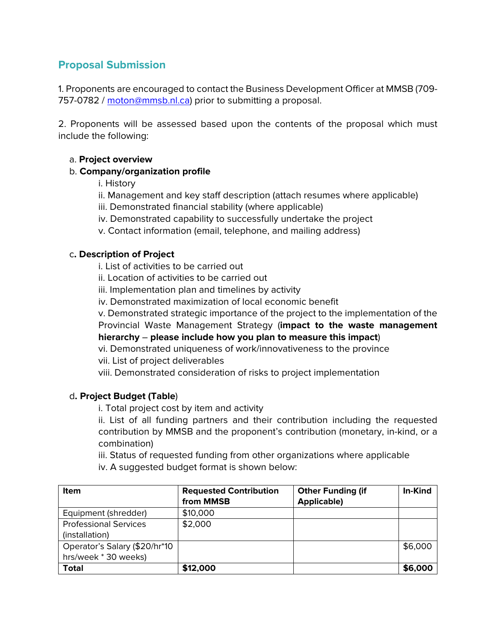## **Proposal Submission**

1. Proponents are encouraged to contact the Business Development Officer at MMSB (709 757-0782 / [moton@mmsb.nl.ca\)](mailto:moton@mmsb.nl.ca) prior to submitting a proposal.

2. Proponents will be assessed based upon the contents of the proposal which must include the following:

#### a. **Project overview**

#### b. **Company/organization profile**

- i. History
- ii. Management and key staff description (attach resumes where applicable)
- iii. Demonstrated financial stability (where applicable)
- iv. Demonstrated capability to successfully undertake the project
- v. Contact information (email, telephone, and mailing address)

#### c**. Description of Project**

i. List of activities to be carried out

- ii. Location of activities to be carried out
- iii. Implementation plan and timelines by activity
- iv. Demonstrated maximization of local economic benefit

v. Demonstrated strategic importance of the project to the implementation of the Provincial Waste Management Strategy (**impact to the waste management hierarchy** – **please include how you plan to measure this impact**)

- vi. Demonstrated uniqueness of work/innovativeness to the province
- vii. List of project deliverables
- viii. Demonstrated consideration of risks to project implementation

#### d**. Project Budget (Table**)

i. Total project cost by item and activity

ii. List of all funding partners and their contribution including the requested contribution by MMSB and the proponent's contribution (monetary, in-kind, or a combination)

iii. Status of requested funding from other organizations where applicable

iv. A suggested budget format is shown below:

| <b>Item</b>                                           | <b>Requested Contribution</b><br>from MMSB | <b>Other Funding (if</b><br><b>Applicable)</b> | <b>In-Kind</b> |
|-------------------------------------------------------|--------------------------------------------|------------------------------------------------|----------------|
| Equipment (shredder)                                  | \$10,000                                   |                                                |                |
| <b>Professional Services</b><br>(installation)        | \$2,000                                    |                                                |                |
| Operator's Salary (\$20/hr*10<br>hrs/week * 30 weeks) |                                            |                                                | \$6,000        |
| <b>Total</b>                                          | \$12,000                                   |                                                | \$6,000        |